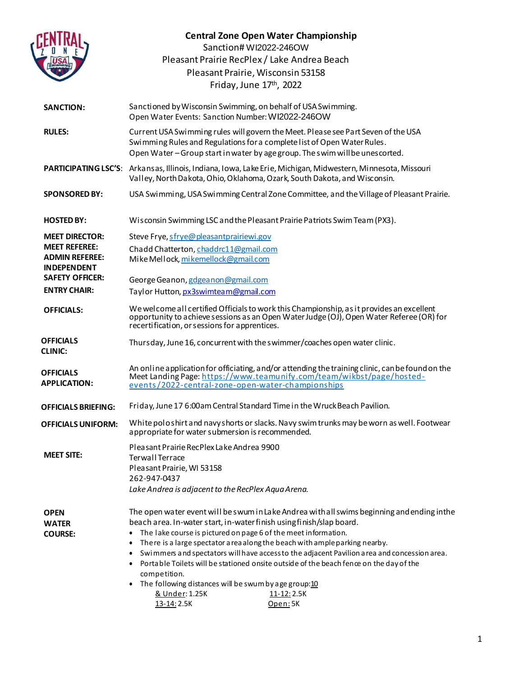|                                                                     | <b>Central Zone Open Water Championship</b><br>Sanction# WI2022-246OW<br>Pleasant Prairie RecPlex / Lake Andrea Beach                                                                                                                                                                                                                                                                                                                                                                                                                                                                                                                           |
|---------------------------------------------------------------------|-------------------------------------------------------------------------------------------------------------------------------------------------------------------------------------------------------------------------------------------------------------------------------------------------------------------------------------------------------------------------------------------------------------------------------------------------------------------------------------------------------------------------------------------------------------------------------------------------------------------------------------------------|
|                                                                     | Pleasant Prairie, Wisconsin 53158<br>Friday, June 17th, 2022                                                                                                                                                                                                                                                                                                                                                                                                                                                                                                                                                                                    |
| <b>SANCTION:</b>                                                    | Sanctioned by Wisconsin Swimming, on behalf of USA Swimming.<br>Open Water Events: Sanction Number: WI2022-246OW                                                                                                                                                                                                                                                                                                                                                                                                                                                                                                                                |
| <b>RULES:</b>                                                       | Current USA Swimming rules will govern the Meet. Please see Part Seven of the USA<br>Swimming Rules and Regulations for a complete list of Open Water Rules.<br>Open Water-Group start in water by age group. The swim will be unescorted.                                                                                                                                                                                                                                                                                                                                                                                                      |
|                                                                     | PARTICIPATING LSC'S: Arkansas, Illinois, Indiana, Iowa, Lake Erie, Michigan, Midwestern, Minnesota, Missouri<br>Valley, North Dakota, Ohio, Oklahoma, Ozark, South Dakota, and Wisconsin.                                                                                                                                                                                                                                                                                                                                                                                                                                                       |
| <b>SPONSORED BY:</b>                                                | USA Swimming, USA Swimming Central Zone Committee, and the Village of Pleasant Prairie.                                                                                                                                                                                                                                                                                                                                                                                                                                                                                                                                                         |
| <b>HOSTED BY:</b>                                                   | Wisconsin Swimming LSC and the Pleasant Prairie Patriots Swim Team (PX3).                                                                                                                                                                                                                                                                                                                                                                                                                                                                                                                                                                       |
| <b>MEET DIRECTOR:</b>                                               | Steve Frye, sfrye@pleasantprairiewi.gov                                                                                                                                                                                                                                                                                                                                                                                                                                                                                                                                                                                                         |
| <b>MEET REFEREE:</b><br><b>ADMIN REFEREE:</b><br><b>INDEPENDENT</b> | Chadd Chatterton, chaddrc11@gmail.com<br>Mike Mellock, mikemellock@gmail.com                                                                                                                                                                                                                                                                                                                                                                                                                                                                                                                                                                    |
| <b>SAFETY OFFICER:</b>                                              | George Geanon, gdgeanon@gmail.com                                                                                                                                                                                                                                                                                                                                                                                                                                                                                                                                                                                                               |
| <b>ENTRY CHAIR:</b>                                                 | Taylor Hutton, px3swimteam@gmail.com                                                                                                                                                                                                                                                                                                                                                                                                                                                                                                                                                                                                            |
| <b>OFFICIALS:</b>                                                   | We welcome all certified Officials to work this Championship, as it provides an excellent<br>opportunity to achieve sessions as an Open Water Judge (OJ), Open Water Referee (OR) for<br>recertification, or sessions for apprentices.                                                                                                                                                                                                                                                                                                                                                                                                          |
| <b>OFFICIALS</b><br><b>CLINIC:</b>                                  | Thursday, June 16, concurrent with the swimmer/coaches open water clinic.                                                                                                                                                                                                                                                                                                                                                                                                                                                                                                                                                                       |
| <b>OFFICIALS</b><br><b>APPLICATION:</b>                             | An online application for officiating, and/or attending the training clinic, can be found on the<br>Meet Landing Page: https://www.teamunify.com/team/wikbst/page/hosted-<br>events/2022-central-zone-open-water-championships                                                                                                                                                                                                                                                                                                                                                                                                                  |
| <b>OFFICIALS BRIEFING:</b>                                          | Friday, June 17 6:00am Central Standard Time in the Wruck Beach Pavilion.                                                                                                                                                                                                                                                                                                                                                                                                                                                                                                                                                                       |
| <b>OFFICIALS UNIFORM:</b>                                           | White poloshirt and navy shorts or slacks. Navy swim trunks may be worn as well. Footwear<br>appropriate for water submersion is recommended.                                                                                                                                                                                                                                                                                                                                                                                                                                                                                                   |
| <b>MEET SITE:</b>                                                   | Pleasant Prairie RecPlex Lake Andrea 9900<br><b>Terwall Terrace</b><br>Pleasant Prairie, WI 53158<br>262-947-0437<br>Lake Andrea is adjacent to the RecPlex Aqua Arena.                                                                                                                                                                                                                                                                                                                                                                                                                                                                         |
| <b>OPEN</b><br><b>WATER</b><br><b>COURSE:</b>                       | The open water event will be swum in Lake Andrea with all swims beginning and ending inthe<br>beach area. In-water start, in-water finish using finish/slap board.<br>The lake course is pictured on page 6 of the meet information.<br>There is a large spectator area along the beach with ample parking nearby.<br>Swimmers and spectators will have access to the adjacent Pavilion area and concession area.<br>Portable Toilets will be stationed onsite outside of the beach fence on the day of the<br>competition.<br>The following distances will be swum by age group:10<br>& Under: 1.25K<br>11-12: 2.5K<br>13-14: 2.5K<br>Open: 5K |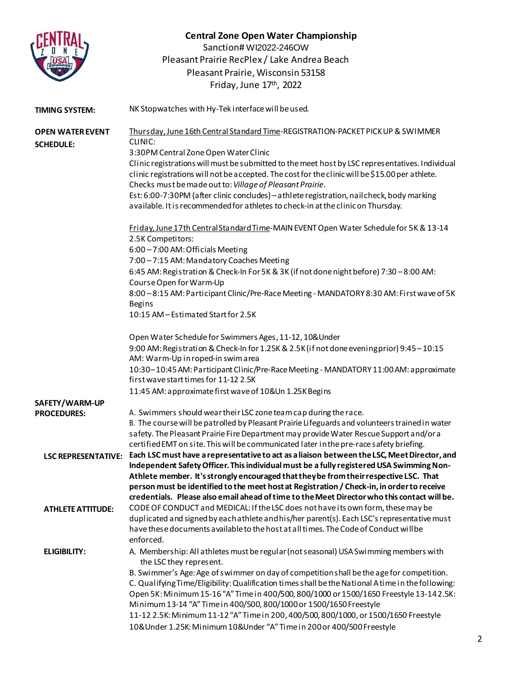|                                             | <b>Central Zone Open Water Championship</b><br>Sanction# WI2022-246OW<br>Pleasant Prairie RecPlex / Lake Andrea Beach                                                               |
|---------------------------------------------|-------------------------------------------------------------------------------------------------------------------------------------------------------------------------------------|
|                                             | Pleasant Prairie, Wisconsin 53158                                                                                                                                                   |
|                                             | Friday, June 17th, 2022                                                                                                                                                             |
|                                             |                                                                                                                                                                                     |
| <b>TIMING SYSTEM:</b>                       | NK Stopwatches with Hy-Tek interface will be used.                                                                                                                                  |
| <b>OPEN WATER EVENT</b><br><b>SCHEDULE:</b> | Thursday, June 16th Central Standard Time-REGISTRATION-PACKET PICK UP & SWIMMER<br>CLINIC:                                                                                          |
|                                             | 3:30PM Central Zone Open Water Clinic                                                                                                                                               |
|                                             | Clinic registrations will must be submitted to the meet host by LSC representatives. Individual                                                                                     |
|                                             | clinic registrations will not be accepted. The cost for the clinic will be \$15.00 per athlete.<br>Checks must be made out to: Village of Pleasant Prairie.                         |
|                                             | Est: 6:00-7:30PM (after clinic concludes) - athlete registration, nail check, body marking                                                                                          |
|                                             | available. It is recommended for a thletes to check-in at the clinic on Thursday.                                                                                                   |
|                                             | Friday, June 17th Central Standard Time-MAIN EVENT Open Water Schedule for 5K & 13-14                                                                                               |
|                                             | 2.5K Competitors:                                                                                                                                                                   |
|                                             | 6:00-7:00 AM: Officials Meeting<br>7:00-7:15 AM: Mandatory Coaches Meeting                                                                                                          |
|                                             | 6:45 AM: Registration & Check-In For 5K & 3K (if not done night before) 7:30 - 8:00 AM:                                                                                             |
|                                             | Course Open for Warm-Up                                                                                                                                                             |
|                                             | 8:00-8:15 AM: Participant Clinic/Pre-Race Meeting - MANDATORY 8:30 AM: First wave of 5K<br><b>Begins</b>                                                                            |
|                                             | 10:15 AM - Estimated Start for 2.5K                                                                                                                                                 |
|                                             |                                                                                                                                                                                     |
|                                             | Open Water Schedule for Swimmers Ages, 11-12, 10& Under<br>9:00 AM: Registration & Check-In for 1.25K & 2.5K (if not done evening prior) 9:45 - 10:15                               |
|                                             | AM: Warm-Up in roped-in swim area                                                                                                                                                   |
|                                             | 10:30-10:45 AM: Participant Clinic/Pre-Race Meeting - MANDATORY 11:00 AM: approximate                                                                                               |
|                                             | first wave start times for 11-12 2.5K                                                                                                                                               |
|                                             | 11:45 AM: approximate first wave of 10&Un 1.25K Begins                                                                                                                              |
| SAFETY/WARM-UP                              |                                                                                                                                                                                     |
| <b>PROCEDURES:</b>                          | A. Swimmers should wear their LSC zone team cap during the race.                                                                                                                    |
|                                             | B. The course will be patrolled by Pleasant Prairie Lifeguards and volunteers trained in water                                                                                      |
|                                             | safety. The Pleasant Prairie Fire Department may provide Water Rescue Support and/ora<br>certified EMT on site. This will be communicated later in the pre-race safety briefing.    |
| <b>LSC REPRESENTATIVE:</b>                  | Each LSC must have a representative to act as a liaison between the LSC, Meet Director, and                                                                                         |
|                                             | Independent Safety Officer. This individual must be a fully registered USA Swimming Non-                                                                                            |
|                                             | Athlete member. It's strongly encouraged that they be from their respective LSC. That                                                                                               |
|                                             | person must be identified to the meet host at Registration / Check-in, in order to receive                                                                                          |
|                                             | credentials. Please also email ahead of time to the Meet Director who this contact will be.                                                                                         |
| <b>ATHLETE ATTITUDE:</b>                    | CODE OF CONDUCT and MEDICAL: If the LSC does not have its own form, these may be                                                                                                    |
|                                             | duplicated and signed by each athlete and his/her parent(s). Each LSC's representative must<br>have these documents available to the host at all times. The Code of Conduct will be |
|                                             | enforced.                                                                                                                                                                           |
| <b>ELIGIBILITY:</b>                         | A. Membership: All athletes must be regular (not seasonal) USA Swimming members with<br>the LSC they represent.                                                                     |
|                                             | B. Swimmer's Age: Age of swimmer on day of competition shall be the age for competition.                                                                                            |
|                                             | C. Qualifying Time/Eligibility: Qualification times shall be the National Atime in the following:                                                                                   |
|                                             | Open 5K: Minimum 15-16 "A" Time in 400/500, 800/1000 or 1500/1650 Freestyle 13-142.5K:                                                                                              |
|                                             | Minimum 13-14 "A" Time in 400/500, 800/1000 or 1500/1650 Freestyle                                                                                                                  |
|                                             | 11-12 2.5K: Minimum 11-12 "A" Time in 200, 400/500, 800/1000, or 1500/1650 Freestyle                                                                                                |
|                                             | 10& Under 1.25K: Minimum 10& Under "A" Time in 200 or 400/500 Freestyle                                                                                                             |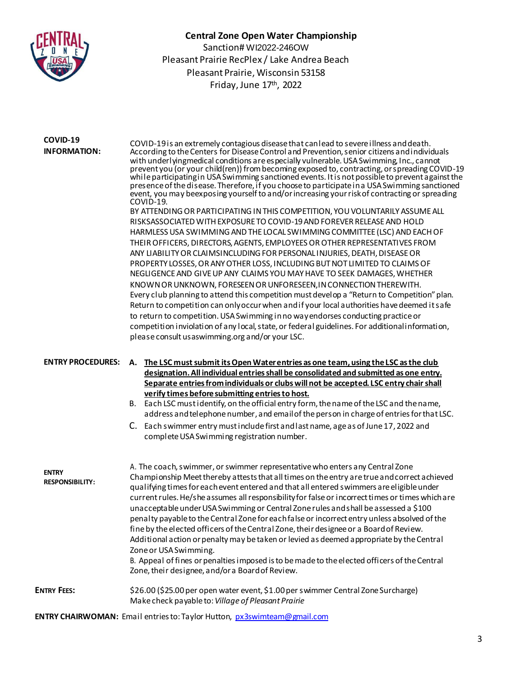

#### **COVID-19 INFORMATION:**

COVID-19is an extremely contagious diseasethat canlead to severeillness anddeath. According to the Centers for Disease Control and Prevention, senior citizens and individuals with underlyingmedical conditions are especially vulnerable. USA Swimming, Inc., cannot prevent you (or your child(ren)) from becoming exposed to, contracting, or spreading COVID-19 while participating in USA Swimming sanctioned events. It is not possible to prevent against the presence of thedisease. Therefore, if you choose to participate in a USA Swimming sanctioned event, you may beexposing yourself to and/or increasing your risk of contracting or spreading COVID-19. BY ATTENDING OR PARTICIPATING IN THIS COMPETITION, YOU VOLUNTARILY ASSUME ALL RISKSASSOCIATED WITH EXPOSURE TO COVID-19 AND FOREVER RELEASE AND HOLD HARMLESS USA SWIMMING AND THE LOCAL SWIMMING COMMITTEE (LSC) AND EACH OF THEIR OFFICERS, DIRECTORS, AGENTS, EMPLOYEES OR OTHER REPRESENTATIVES FROM ANY LIABILITY OR CLAIMSINCLUDING FOR PERSONAL INJURIES, DEATH, DISEASE OR PROPERTY LOSSES, OR ANY OTHER LOSS, INCLUDING BUT NOT LIMITED TO CLAIMS OF NEGLIGENCE AND GIVE UP ANY CLAIMS YOU MAY HAVE TO SEEK DAMAGES, WHETHER KNOWN OR UNKNOWN, FORESEEN OR UNFORESEEN,INCONNECTIONTHEREWITH. Every club planning to attend this competition must develop a "Return to Competition" plan. Return to competition can only occur when and if your local authorities have deemed it safe to return to competition. USA Swimming in no way endorses conducting practice or competition inviolation of any local, state, or federal guidelines. For additional information, please consult usaswimming.org and/or your LSC.

#### **ENTRY PROCEDURES: A. The LSC must submit its Open Water entries as one team, using the LSC as the club designation.All individual entriesshall be consolidated and submitted as one entry. Separate entries from individuals or clubs will not be accepted. LSC entry chair shall verify times before submitting entriesto host.**

- B. Each LSC must identify, on the official entry form, the name of the LSC and the name, address and telephone number, and email of the person in charge of entries for that LSC.
- C. Each swimmer entry mustinclude first andlastname, ageas ofJune17, 2022 and complete USA Swimming registration number.

| <b>ENTRY</b><br><b>RESPONSIBILITY:</b> | A. The coach, swimmer, or swimmer representative who enters any Central Zone<br>Championship Meet thereby attests that all times on the entry are true and correct achieved<br>qualifying times for each event entered and that all entered swimmers are eligible under<br>current rules. He/she assumes all responsibility for false or incorrect times or times which are<br>unacceptable under USA Swimming or Central Zone rules and shall be assessed a \$100<br>penalty payable to the Central Zone for each false or incorrect entry unless absolved of the<br>fine by the elected officers of the Central Zone, their designee or a Board of Review.<br>Additional action or penalty may be taken or levied as deemed appropriate by the Central<br>Zone or USA Swimming.<br>B. Appeal of fines or penalties imposed is to be made to the elected officers of the Central<br>Zone, their designee, and/or a Board of Review. |
|----------------------------------------|--------------------------------------------------------------------------------------------------------------------------------------------------------------------------------------------------------------------------------------------------------------------------------------------------------------------------------------------------------------------------------------------------------------------------------------------------------------------------------------------------------------------------------------------------------------------------------------------------------------------------------------------------------------------------------------------------------------------------------------------------------------------------------------------------------------------------------------------------------------------------------------------------------------------------------------|
| <b>ENTRY FEES:</b>                     | \$26.00 (\$25.00 per open water event, \$1.00 per swimmer Central Zone Surcharge)<br>Make check payable to: Village of Pleasant Prairie                                                                                                                                                                                                                                                                                                                                                                                                                                                                                                                                                                                                                                                                                                                                                                                              |

**ENTRY CHAIRWOMAN:** Email entriesto:Taylor Hutton[, px3swimteam@gmail](mailto:thutton@pleasantprairiewi.gov).com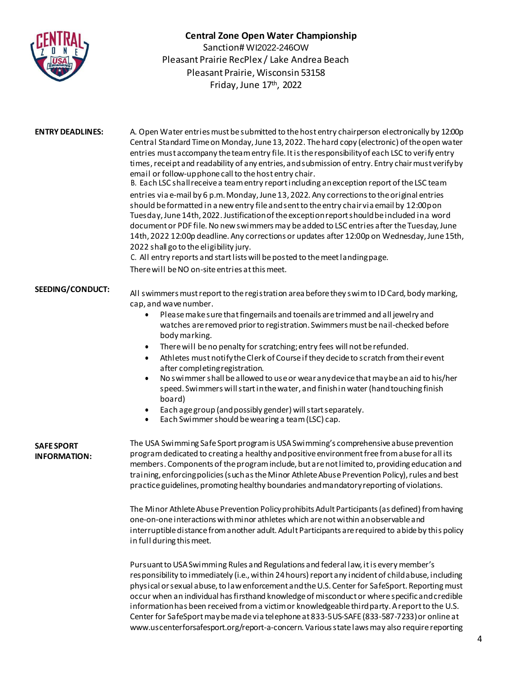

| <b>ENTRY DEADLINES:</b>                  | A. Open Water entries must be submitted to the host entry chairperson electronically by 12:00p<br>Central Standard Time on Monday, June 13, 2022. The hard copy (electronic) of the open water<br>entries must accompany the team entry file. It is the responsibility of each LSC to verify entry<br>times, receipt and readability of any entries, and submission of entry. Entry chair must verify by<br>email or follow-up phone call to the host entry chair.<br>B. Each LSC shall receive a team entry report including an exception report of the LSC team<br>entries via e-mail by 6 p.m. Monday, June 13, 2022. Any corrections to the original entries<br>should be formatted in a new entry file and sent to the entry chair via email by 12:00pon<br>Tuesday, June 14th, 2022. Justification of the exception report should be included in a word<br>document or PDF file. No new swimmers may be added to LSC entries after the Tuesday, June<br>14th, 2022 12:00p deadline. Any corrections or updates after 12:00p on Wednesday, June 15th,<br>2022 shall go to the eligibility jury.<br>C. All entry reports and start lists will be posted to the meet landing page.<br>There will be NO on-site entries at this meet. |
|------------------------------------------|-----------------------------------------------------------------------------------------------------------------------------------------------------------------------------------------------------------------------------------------------------------------------------------------------------------------------------------------------------------------------------------------------------------------------------------------------------------------------------------------------------------------------------------------------------------------------------------------------------------------------------------------------------------------------------------------------------------------------------------------------------------------------------------------------------------------------------------------------------------------------------------------------------------------------------------------------------------------------------------------------------------------------------------------------------------------------------------------------------------------------------------------------------------------------------------------------------------------------------------------|
| <b>SEEDING/CONDUCT:</b>                  | All swimmers must report to the registration area before they swim to ID Card, body marking,<br>cap, and wave number.<br>Please make sure that fingernails and toenails are trimmed and all jewelry and<br>$\bullet$<br>watches are removed prior to registration. Swimmers must be nail-checked before<br>body marking.<br>There will be no penalty for scratching; entry fees will not be refunded.<br>$\bullet$<br>Athletes must notify the Clerk of Course if they decide to scratch from their event<br>after completing registration.<br>No swimmer shall be allowed to use or wear any device that may be an aid to his/her<br>$\bullet$<br>speed. Swimmers will start in the water, and finish in water (hand touching finish<br>board)<br>Each age group (and possibly gender) will start separately.<br>$\bullet$<br>Each Swimmer should be wearing a team (LSC) cap.<br>$\bullet$                                                                                                                                                                                                                                                                                                                                            |
| <b>SAFE SPORT</b><br><b>INFORMATION:</b> | The USA Swimming Safe Sport program is USA Swimming's comprehensive abuse prevention<br>program dedicated to creating a healthy and positive environment free from abuse for all its<br>members. Components of the program include, but are not limited to, providing education and<br>training, enforcing policies (such as the Minor Athlete Abuse Prevention Policy), rules and best<br>practice guidelines, promoting healthy boundaries and mandatory reporting of violations.<br>The Minor Athlete Abuse Prevention Policy prohibits Adult Participants (as defined) from having<br>one-on-one interactions with minor athletes which are not within an observable and<br>interruptible distance from another adult. Adult Participants are required to abide by this policy<br>in full during this meet.                                                                                                                                                                                                                                                                                                                                                                                                                         |
|                                          |                                                                                                                                                                                                                                                                                                                                                                                                                                                                                                                                                                                                                                                                                                                                                                                                                                                                                                                                                                                                                                                                                                                                                                                                                                         |

Pursuant to USA Swimming Rules and Regulations and federal law, it is every member's responsibility to immediately (i.e., within 24 hours) report any incident of child abuse, including physical or sexual abuse, to law enforcement and the U.S. Center for SafeSport. Reporting must occur when an individual has firsthand knowledge of misconduct or where specific and credible information has been received from a victim or knowledgeable third party. A report to the U.S. Center for SafeSport may be made via telephone at 833-5US-SAFE (833-587-7233) or online at www.uscenterforsafesport.org/report-a-concern. Various state laws may also require reporting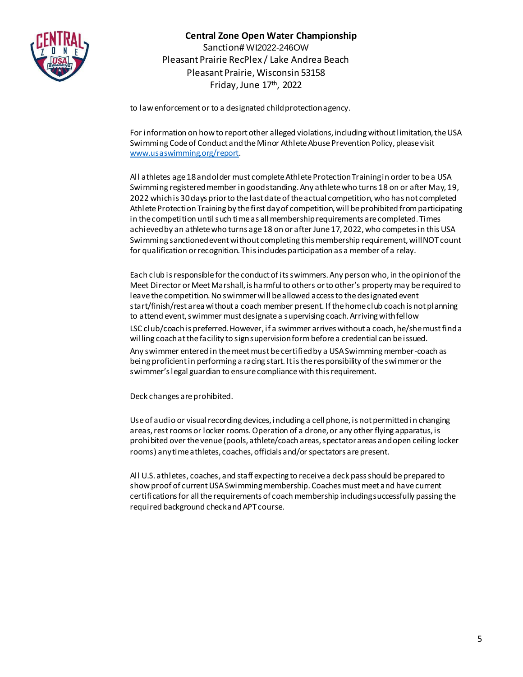

to law enforcement or to a designated child protection agency.

For information on how to report other alleged violations, including without limitation, the USA Swimming Code of Conduct and the Minor Athlete Abuse Prevention Policy, please visit [www.usaswimming.org/report](http://www.usaswimming.org/report).

All athletes age 18 and older must complete Athlete Protection Training in order to be a USA Swimming registered member in good standing. Any athlete who turns 18 on or after May, 19, 2022 which is 30 days prior to the last date of the actual competition, who has not completed Athlete Protection Training by the first day of competition, will be prohibited from participating in the competition until such time as all membership requirements are completed. Times achieved by an athlete who turns age 18 on or after June 17, 2022, who competes in this USA Swimming sanctioned event without completing this membership requirement, will NOT count for qualification or recognition. This includes participation as a member of a relay.

Each club is responsible for the conduct of its swimmers. Any person who, in the opinion of the Meet Director or Meet Marshall, is harmful to others or to other's property may be required to leave the competition. No swimmer will be allowed access to the designated event start/finish/rest area without a coach member present. If the home club coach is not planning to attend event, swimmer must designate a supervising coach. Arriving with fellow LSC club/coach is preferred. However, if a swimmer arrives without a coach, he/she must find a willing coach at the facility to sign supervision form before a credential can be issued. Any swimmer entered in the meet must be certified by a USA Swimming member-coach as being proficient in performing a racing start. It is the responsibility of the swimmer or the swimmer's legal guardian to ensure compliance with this requirement.

Deck changes are prohibited.

Use of audio or visual recording devices, including a cell phone, is not permitted in changing areas, rest rooms or locker rooms. Operation of a drone, or any other flying apparatus, is prohibited over the venue (pools, athlete/coach areas, spectator areas and open ceiling locker rooms) any time athletes, coaches, officials and/or spectators are present.

All U.S. athletes, coaches, and staff expecting to receive a deck pass should be prepared to show proof of current USA Swimming membership. Coaches must meet and have current certifications for all the requirements of coach membership including successfully passing the required background check and APT course.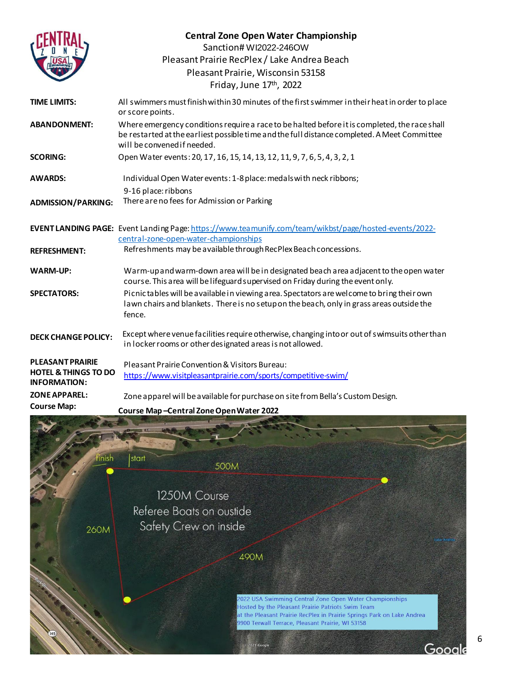|                                                        | <b>Central Zone Open Water Championship</b><br>Sanction# WI2022-246OW                                                                                                                                                        |
|--------------------------------------------------------|------------------------------------------------------------------------------------------------------------------------------------------------------------------------------------------------------------------------------|
|                                                        | Pleasant Prairie RecPlex / Lake Andrea Beach                                                                                                                                                                                 |
|                                                        | Pleasant Prairie, Wisconsin 53158                                                                                                                                                                                            |
|                                                        | Friday, June 17th, 2022                                                                                                                                                                                                      |
| <b>TIME LIMITS:</b>                                    | All swimmers must finish within 30 minutes of the first swimmer in their heat in order to place<br>or score points.                                                                                                          |
| <b>ABANDONMENT:</b>                                    | Where emergency conditions require a race to be halted before it is completed, the race shall<br>be restarted at the earliest possible time and the full distance completed. A Meet Committee<br>will be convened if needed. |
| <b>SCORING:</b>                                        | Open Water events: 20, 17, 16, 15, 14, 13, 12, 11, 9, 7, 6, 5, 4, 3, 2, 1                                                                                                                                                    |
| <b>AWARDS:</b>                                         | Individual Open Water events: 1-8 place: medals with neck ribbons;                                                                                                                                                           |
|                                                        | 9-16 place: ribbons                                                                                                                                                                                                          |
| <b>ADMISSION/PARKING:</b>                              | There are no fees for Admission or Parking                                                                                                                                                                                   |
|                                                        | EVENTLANDING PAGE: Event Landing Page: https://www.teamunify.com/team/wikbst/page/hosted-events/2022-<br>central-zone-open-water-championships                                                                               |
| <b>REFRESHMENT:</b>                                    | Refreshments may be available through RecPlex Beach concessions.                                                                                                                                                             |
| <b>WARM-UP:</b>                                        | Warm-upand warm-down area will be in designated beach area adjacent to the open water<br>course. This area will be lifeguard supervised on Friday during the event only.                                                     |
| <b>SPECTATORS:</b>                                     | Picnic tables will be available in viewing area. Spectators are welcome to bring their own<br>lawn chairs and blankets. There is no setupon the beach, only in grass areas outside the<br>fence.                             |
| <b>DECK CHANGE POLICY:</b>                             | Except where venue facilities require otherwise, changing into or out of swimsuits other than<br>in locker rooms or other designated areas is not allowed.                                                                   |
| <b>PLEASANT PRAIRIE</b>                                | Pleasant Prairie Convention & Visitors Bureau:                                                                                                                                                                               |
| <b>HOTEL &amp; THINGS TO DO</b><br><b>INFORMATION:</b> | https://www.visitpleasantprairie.com/sports/competitive-swim/                                                                                                                                                                |
| <b>ZONE APPAREL:</b>                                   | Zone apparel will be available for purchase on site from Bella's Custom Design.                                                                                                                                              |
| <b>Course Map:</b>                                     | Course Man-Central Zone Open Water 2022                                                                                                                                                                                      |

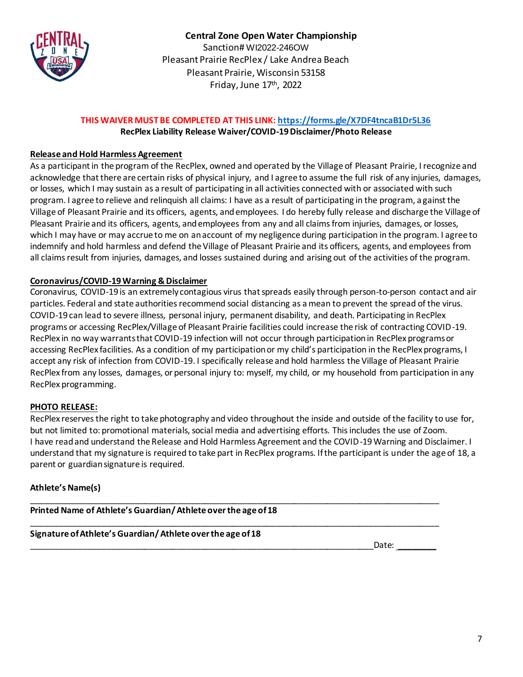

### **THIS WAIVER MUST BE COMPLETED AT THIS LINK:<https://forms.gle/X7DF4tncaB1Dr5L36> RecPlex Liability Release Waiver/COVID-19 Disclaimer/Photo Release**

## **Release and Hold Harmless Agreement**

As a participant in the program of the RecPlex, owned and operated by the Village of Pleasant Prairie, I recognize and acknowledge that there are certain risks of physical injury, and I agree to assume the full risk of any injuries, damages, or losses, which I may sustain as a result of participating in all activities connected with or associated with such program. I agree to relieve and relinquish all claims: I have as a result of participating in the program, against the Village of Pleasant Prairie and its officers, agents, and employees. I do hereby fully release and discharge the Village of Pleasant Prairie and its officers, agents, and employees from any and all claims from injuries, damages, or losses, which I may have or may accrue to me on an account of my negligence during participation in the program. I agree to indemnify and hold harmless and defend the Village of Pleasant Prairie and its officers, agents, and employees from all claims result from injuries, damages, and losses sustained during and arising out of the activities of the program.

## **Coronavirus/COVID-19 Warning & Disclaimer**

Coronavirus, COVID-19 is an extremely contagious virus that spreads easily through person-to-person contact and air particles. Federal and state authorities recommend social distancing as a mean to prevent the spread of the virus. COVID-19 can lead to severe illness, personal injury, permanent disability, and death. Participating in RecPlex programs or accessing RecPlex/Village of Pleasant Prairie facilities could increase the risk of contracting COVID-19. RecPlex in no way warrants that COVID-19 infection will not occur through participation in RecPlex programs or accessing RecPlex facilities. As a condition of my participation or my child's participation in the RecPlex programs, I accept any risk of infection from COVID-19. I specifically release and hold harmless the Village of Pleasant Prairie RecPlex from any losses, damages, or personal injury to: myself, my child, or my household from participation in any RecPlex programming.

### **PHOTO RELEASE:**

RecPlex reserves the right to take photography and video throughout the inside and outside of the facility to use for, but not limited to: promotional materials, social media and advertising efforts. This includes the use of Zoom. I have read and understand the Release and Hold Harmless Agreement and the COVID-19 Warning and Disclaimer. I understand that my signature is required to take part in RecPlex programs. If the participant is under the age of 18, a parent or guardian signature is required.

\_\_\_\_\_\_\_\_\_\_\_\_\_\_\_\_\_\_\_\_\_\_\_\_\_\_\_\_\_\_\_\_\_\_\_\_\_\_\_\_\_\_\_\_\_\_\_\_\_\_\_\_\_\_\_\_\_\_\_\_\_\_\_\_\_\_\_\_\_\_\_\_\_\_\_\_\_\_\_\_\_\_\_\_\_\_\_

#### **Athlete's Name(s)**

\_\_\_\_\_\_\_\_\_\_\_\_\_\_\_\_\_\_\_\_\_\_\_\_\_\_\_\_\_\_\_\_\_\_\_\_\_\_\_\_\_\_\_\_\_\_\_\_\_\_\_\_\_\_\_\_\_\_\_\_\_\_\_\_\_\_\_\_\_\_\_\_\_\_\_\_\_\_\_\_\_\_\_\_\_\_\_ **Printed Name of Athlete's Guardian/ Athlete over the age of 18**

**Signature of Athlete's Guardian/ Athlete over the age of 18**

\_\_\_\_\_\_\_\_\_\_\_\_\_\_\_\_\_\_\_\_\_\_\_\_\_\_\_\_\_\_\_\_\_\_\_\_\_\_\_\_\_\_\_\_\_\_\_\_\_\_\_\_\_\_\_\_\_\_\_\_\_\_\_\_\_\_\_\_\_\_\_\_\_Date: \_\_\_\_\_\_\_\_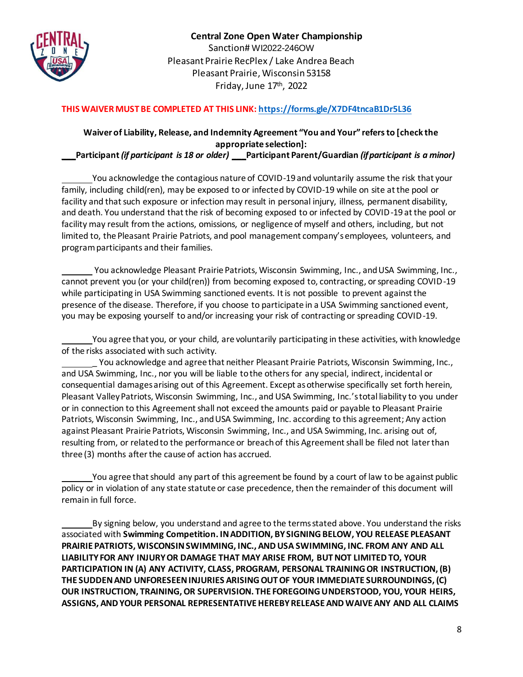

## **THIS WAIVER MUST BE COMPLETED AT THIS LINK[: https://forms.gle/X7DF4tncaB1Dr5L36](https://forms.gle/X7DF4tncaB1Dr5L36)**

# **Waiver of Liability, Release, and Indemnity Agreement "You and Your" refers to [check the appropriate selection]:**

**\_\_\_Participant** *(if participant is 18 or older)* **\_\_\_Participant Parent/Guardian** *(if participant is a minor)*

You acknowledge the contagious nature of COVID-19 and voluntarily assume the risk that your family, including child(ren), may be exposed to or infected by COVID-19 while on site at the pool or facility and that such exposure or infection may result in personal injury, illness, permanent disability, and death. You understand that the risk of becoming exposed to or infected by COVID-19 at the pool or facility may result from the actions, omissions, or negligence of myself and others, including, but not limited to, the Pleasant Prairie Patriots, and pool management company's employees, volunteers, and program participants and their families.

You acknowledge Pleasant Prairie Patriots, Wisconsin Swimming, Inc., and USA Swimming, Inc., cannot prevent you (or your child(ren)) from becoming exposed to, contracting, or spreading COVID-19 while participating in USA Swimming sanctioned events. It is not possible to prevent against the presence of the disease. Therefore, if you choose to participate in a USA Swimming sanctioned event, you may be exposing yourself to and/or increasing your risk of contracting or spreading COVID-19.

You agree that you, or your child, are voluntarily participating in these activities, with knowledge of the risks associated with such activity.

You acknowledge and agree that neither Pleasant Prairie Patriots, Wisconsin Swimming, Inc., and USA Swimming, Inc., nor you will be liable to the others for any special, indirect, incidental or consequential damages arising out of this Agreement. Except as otherwise specifically set forth herein, Pleasant Valley Patriots, Wisconsin Swimming, Inc., and USA Swimming, Inc.'s total liability to you under or in connection to this Agreement shall not exceed the amounts paid or payable to Pleasant Prairie Patriots, Wisconsin Swimming, Inc., and USA Swimming, Inc. according to this agreement; Any action against Pleasant Prairie Patriots, Wisconsin Swimming, Inc., and USA Swimming, Inc. arising out of, resulting from, or related to the performance or breach of this Agreement shall be filed not later than three (3) months after the cause of action has accrued.

You agree that should any part of this agreement be found by a court of law to be against public policy or in violation of any state statute or case precedence, then the remainder of this document will remain in full force.

By signing below, you understand and agree to the terms stated above. You understand the risks associated with **Swimming Competition. IN ADDITION, BY SIGNING BELOW, YOU RELEASE PLEASANT PRAIRIE PATRIOTS, WISCONSIN SWIMMING, INC., AND USA SWIMMING, INC. FROM ANY AND ALL LIABILITY FOR ANY INJURY OR DAMAGE THAT MAY ARISE FROM, BUT NOT LIMITED TO, YOUR PARTICIPATION IN (A) ANY ACTIVITY, CLASS, PROGRAM, PERSONAL TRAINING OR INSTRUCTION, (B) THE SUDDEN AND UNFORESEEN INJURIES ARISING OUT OF YOUR IMMEDIATE SURROUNDINGS, (C) OUR INSTRUCTION, TRAINING, OR SUPERVISION. THE FOREGOING UNDERSTOOD, YOU, YOUR HEIRS, ASSIGNS, AND YOUR PERSONAL REPRESENTATIVE HEREBY RELEASE AND WAIVE ANY AND ALL CLAIMS**